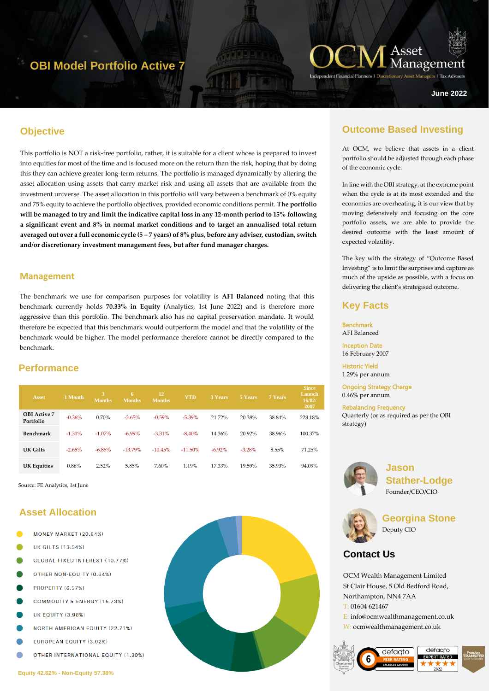# **OBI Model Portfolio Active 7**



ers | Tax Adviser

**June 2022**

### **Objective**

This portfolio is NOT a risk-free portfolio, rather, it is suitable for a client whose is prepared to invest into equities for most of the time and is focused more on the return than the risk, hoping that by doing this they can achieve greater long-term returns. The portfolio is managed dynamically by altering the asset allocation using assets that carry market risk and using all assets that are available from the investment universe. The asset allocation in this portfolio will vary between a benchmark of 0% equity and 75% equity to achieve the portfolio objectives, provided economic conditions permit. **The portfolio will be managed to try and limit the indicative capital loss in any 12-month period to 15% following a significant event and 8% in normal market conditions and to target an annualised total return averaged out over a full economic cycle (5 – 7 years) of 8% plus, before any adviser, custodian, switch and/or discretionary investment management fees, but after fund manager charges.**

#### **Management**

The benchmark we use for comparison purposes for volatility is **AFI Balanced** noting that this benchmark currently holds **70.33% in Equity** (Analytics, 1st June 2022) and is therefore more aggressive than this portfolio. The benchmark also has no capital preservation mandate. It would therefore be expected that this benchmark would outperform the model and that the volatility of the benchmark would be higher. The model performance therefore cannot be directly compared to the benchmark.

### **Performance**

| <b>Asset</b>                     | 1 Month  | <b>Months</b> | 6<br><b>Months</b> | 12<br>Months. | <b>YTD</b> | <b>3 Years</b> | 5 Years  | 7 Years | <b>Since</b><br>Launch<br>16/02/<br>2007 |
|----------------------------------|----------|---------------|--------------------|---------------|------------|----------------|----------|---------|------------------------------------------|
| <b>OBI</b> Active 7<br>Portfolio | $-0.36%$ | 0.70%         | $-3.65%$           | $-0.59%$      | $-5.39\%$  | 21.72%         | 20.38%   | 38.84%  | 228.18%                                  |
| Benchmark                        | $-1.31%$ | $-1.07\%$     | $-6.99\%$          | $-3.31%$      | $-8.40%$   | 14.36%         | 20.92%   | 38.96%  | 100.37%                                  |
| UK Gilts                         | $-2.65%$ | $-6.85%$      | $-13.79%$          | $-10.45%$     | $-11.50\%$ | $-6.92\%$      | $-3.28%$ | 8.55%   | 71.25%                                   |
| <b>UK Equities</b>               | 0.86%    | 2.52%         | 5.85%              | 7.60%         | 1.19%      | 17.33%         | 19.59%   | 35.93%  | 94.09%                                   |

Source: FE Analytics, 1st June

## **Asset Allocation**

- MONEY MARKET (20.84%)
- UK GILTS (13.54%)
- **GLOBAL FIXED INTEREST (10.77%)**
- OTHER NON-EQUITY (0.64%)
- PROPERTY (6.57%)
- COMMODITY & ENERGY (15.73%)
- **UK EQUITY (3.98%)**
- **NORTH AMERICAN EQUITY (22.71%)**
- **EUROPEAN EQUITY (3.92%)**
- OTHER INTERNATIONAL EQUITY (1.30%)



### **Outcome Based Investing**

At OCM, we believe that assets in a client portfolio should be adjusted through each phase of the economic cycle.

In line with the OBI strategy, at the extreme point when the cycle is at its most extended and the economies are overheating, it is our view that by moving defensively and focusing on the core portfolio assets, we are able to provide the desired outcome with the least amount of expected volatility.

The key with the strategy of "Outcome Based Investing" is to limit the surprises and capture as much of the upside as possible, with a focus on delivering the client's strategised outcome.

### **Key Facts**

Benchmark AFI Balanced Inception Date

16 February 2007

Historic Yield 1.29% per annum

Ongoing Strategy Charge 0.46% per annum

Rebalancing Frequency Quarterly (or as required as per the OBI strategy)



**Jason Stather-Lodge** Founder/CEO/CIO



**Georgina Stone** Deputy CIO

## **Contact Us**

OCM Wealth Management Limited St Clair House, 5 Old Bedford Road, Northampton, NN4 7AA T: 01604 621467 E: info@ocmwealthmanagement.co.uk W: ocmwealthmanagement.co.uk